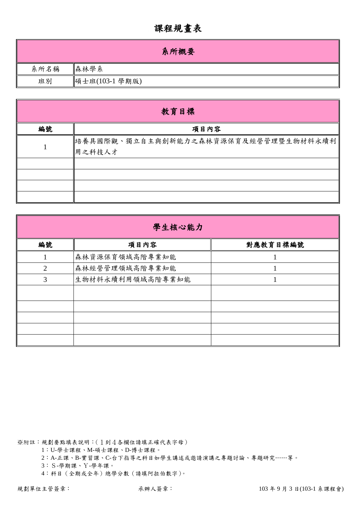## 課程規畫表

|      | 系所概要           |
|------|----------------|
| 系所名稱 | 森林學系           |
| 班別   | 碩士班(103-1 學期版) |

| 教育目標 |                                                |  |  |  |  |  |  |  |  |
|------|------------------------------------------------|--|--|--|--|--|--|--|--|
| 編號   | 項目內容                                           |  |  |  |  |  |  |  |  |
|      | 出養具國際觀、獨立自主與創新能力之森林資源保育及經營管理暨生物材料永續利<br>用之科技人才 |  |  |  |  |  |  |  |  |
|      |                                                |  |  |  |  |  |  |  |  |
|      |                                                |  |  |  |  |  |  |  |  |

| 學生核心能力         |                  |          |  |  |  |  |  |
|----------------|------------------|----------|--|--|--|--|--|
| 編號             | 項目內容             | 對應教育目標編號 |  |  |  |  |  |
|                | 森林資源保育領域高階專業知能   |          |  |  |  |  |  |
| $\overline{2}$ | 森林經營管理領域高階專業知能   |          |  |  |  |  |  |
| 3              | 生物材料永續利用領域高階專業知能 |          |  |  |  |  |  |
|                |                  |          |  |  |  |  |  |
|                |                  |          |  |  |  |  |  |
|                |                  |          |  |  |  |  |  |
|                |                  |          |  |  |  |  |  |
|                |                  |          |  |  |  |  |  |

※附註:規劃要點填表說明:(1到4各欄位請填正確代表字母)

1:U-學士課程、M-碩士課程、D-博士課程。

2:A-正課、B-實習課、C-台下指導之科目如學生講述或邀請演講之專題討論、專題研究……等。

3:S-學期課、Y-學年課。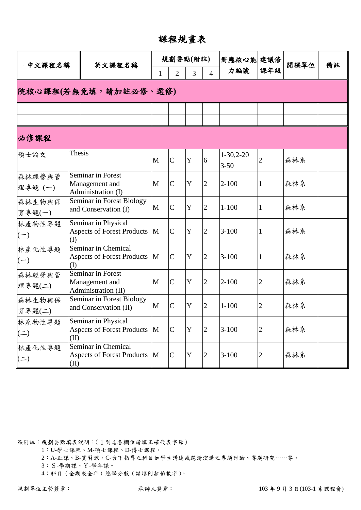課程規畫表

| 中文課程名稱              |        | 英文課程名稱                                                     |              |                | 規劃要點(附註)    |                | 對應核心能 建議修               |                | 開課單位 | 備註 |
|---------------------|--------|------------------------------------------------------------|--------------|----------------|-------------|----------------|-------------------------|----------------|------|----|
|                     |        |                                                            | 1            | $\overline{2}$ | 3           | $\overline{4}$ | 力編號                     | 課年級            |      |    |
|                     |        | 院核心課程(若無免填,請加註必修、選修)                                       |              |                |             |                |                         |                |      |    |
|                     |        |                                                            |              |                |             |                |                         |                |      |    |
| 必修課程                |        |                                                            |              |                |             |                |                         |                |      |    |
| 碩士論文                | Thesis |                                                            | M            | $\overline{C}$ | Y           | 6              | $1-30,2-20$<br>$3 - 50$ | $\overline{2}$ | 森林系  |    |
| 森林經營與管<br>理專題(一)    |        | Seminar in Forest<br>Management and<br>Administration (I)  | $\mathbf{M}$ | $\overline{C}$ | $\mathbf Y$ | $\overline{2}$ | $2 - 100$               | 1              | 森林系  |    |
| 森林生物與保<br>育專題(一)    |        | Seminar in Forest Biology<br>and Conservation (I)          | M            | $\overline{C}$ | $\mathbf Y$ | $\overline{2}$ | $1 - 100$               | 1              | 森林系  |    |
| 林產物性專題<br>$(-)$     | (I)    | Seminar in Physical<br><b>Aspects of Forest Products</b>   | M            | $\mathcal{C}$  | $\mathbf Y$ | $\overline{2}$ | $3 - 100$               | $\mathbf{1}$   | 森林系  |    |
| 林產化性專題<br>$(-)$     | (I)    | Seminar in Chemical<br><b>Aspects of Forest Products</b>   | M            | $\overline{C}$ | Y           | $\overline{2}$ | $3-100$                 | $\mathbf{1}$   | 森林系  |    |
| 森林經營與管<br>理專題(二)    |        | Seminar in Forest<br>Management and<br>Administration (II) | M            | $\overline{C}$ | Y           | $\overline{2}$ | $2 - 100$               | $\overline{2}$ | 森林系  |    |
| 森林生物與保<br>育專題(二)    |        | Seminar in Forest Biology<br>and Conservation (II)         | M            | $\mathcal{C}$  | Y           | $\overline{2}$ | $1 - 100$               | $\overline{2}$ | 森林系  |    |
| 林產物性專題<br>$($ = $)$ | (II)   | Seminar in Physical<br><b>Aspects of Forest Products</b>   | M            | $\overline{C}$ | $\mathbf Y$ | $\overline{2}$ | $3 - 100$               | $\overline{c}$ | 森林系  |    |
| 林產化性專題<br>$($ = $)$ | (II)   | Seminar in Chemical<br><b>Aspects of Forest Products</b>   | M            | $\overline{C}$ | Y           | $\overline{2}$ | $3 - 100$               | $\overline{c}$ | 森林系  |    |

1:U-學士課程、M-碩士課程、D-博士課程。

2:A-正課、B-實習課、C-台下指導之科目如學生講述或邀請演講之專題討論、專題研究……等。

3:S-學期課、Y-學年課。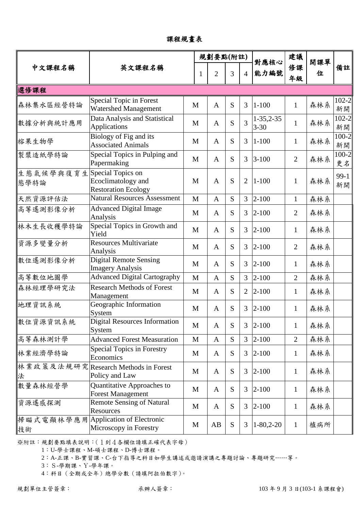課程規畫表

|                   |                                                                       |              | 規劃要點(附註)       |           |                |                         | 建議             | 開課單 |                 |
|-------------------|-----------------------------------------------------------------------|--------------|----------------|-----------|----------------|-------------------------|----------------|-----|-----------------|
| 中文課程名稱            | 英文課程名稱                                                                | 1            | $\overline{2}$ | 3         | $\overline{4}$ | 對應核心<br>能力編號            | 修課<br>年級       | 位   | 備註              |
| 選修課程              |                                                                       |              |                |           |                |                         |                |     |                 |
| 森林集水區經營特論         | Special Topic in Forest<br>Watershed Management                       | M            | $\mathbf{A}$   | S         | 3              | $1 - 100$               | $\mathbf{1}$   | 森林系 | $102 - 2$<br>新開 |
| 數據分析與統計應用         | Data Analysis and Statistical<br>Applications                         | M            | $\mathbf{A}$   | S         | 3              | $1-35,2-35$<br>$3 - 30$ | $\mathbf{1}$   | 森林系 | $102 - 2$<br>新開 |
| 榕果生物學             | Biology of Fig and its<br><b>Associated Animals</b>                   | M            | $\mathbf{A}$   | S         | 3              | $1 - 100$               | $\mathbf{1}$   | 森林系 | $100 - 2$<br>新開 |
| 製漿造紙學特論           | Special Topics in Pulping and<br>Papermaking                          | $\mathbf{M}$ | $\mathbf{A}$   | S         | 3              | $3 - 100$               | $\overline{2}$ | 森林系 | $100 - 2$<br>更名 |
| 生態氣候學與復育生<br>態學特論 | Special Topics on<br>Ecoclimatology and<br><b>Restoration Ecology</b> | M            | $\mathbf{A}$   | S         | $\overline{2}$ | $1 - 100$               | $\mathbf{1}$   | 森林系 | $99-1$<br>新開    |
| 天然資源評估法           | <b>Natural Resources Assessment</b>                                   | M            | $\mathbf{A}$   | S         | 3              | $2 - 100$               | $\mathbf{1}$   | 森林系 |                 |
| 高等遙測影像分析          | <b>Advanced Digital Image</b><br>Analysis                             | M            | $\mathbf{A}$   | S         | 3              | $2 - 100$               | $\overline{2}$ | 森林系 |                 |
| 林木生長收穫學特論         | Special Topics in Growth and<br>Yield                                 | $\mathbf{M}$ | $\mathbf{A}$   | S         | 3              | $2 - 100$               | $\mathbf{1}$   | 森林系 |                 |
| 資源多變量分析           | <b>Resources Multivariate</b><br>Analysis                             | M            | $\mathbf{A}$   | S         | 3              | $2 - 100$               | $\overline{2}$ | 森林系 |                 |
| 數位遙測影像分析          | <b>Digital Remote Sensing</b><br><b>Imagery Analysis</b>              | M            | $\mathbf{A}$   | S         | 3              | $2 - 100$               | $\mathbf{1}$   | 森林系 |                 |
| 高等數位地圖學           | <b>Advanced Digital Cartography</b>                                   | M            | $\mathbf{A}$   | S         | 3              | $2 - 100$               | $\overline{2}$ | 森林系 |                 |
| 森林經理學研究法          | <b>Research Methods of Forest</b><br>Management                       | M            | $\mathbf{A}$   | S         | $\overline{2}$ | $2 - 100$               | $\mathbf{1}$   | 森林系 |                 |
| 地理資訊系統            | Geographic Information<br>System                                      | M            | $\mathbf{A}$   | S         | 3              | $2 - 100$               | $\mathbf{1}$   | 森林系 |                 |
| 數位資源資訊系統          | <b>Digital Resources Information</b><br>System                        | M            | $\mathbf{A}$   | S         | 3              | $2 - 100$               | $\mathbf{1}$   | 森林系 |                 |
| 高等森林測計學           | <b>Advanced Forest Measuration</b>                                    | M            | $\mathbf{A}$   | S         | 3              | $2 - 100$               | $\overline{2}$ | 森林系 |                 |
| 林業經濟學特論           | <b>Special Topics in Forestry</b><br>Economics                        | M            | $\mathbf{A}$   | S         | 3              | $2 - 100$               | $\mathbf{1}$   | 森林系 |                 |
| 林業政策及法規研究<br>法    | <b>Research Methods in Forest</b><br>Policy and Law                   | M            | $\mathbf{A}$   | S         | 3              | $2 - 100$               | $\mathbf{1}$   | 森林系 |                 |
| 數量森林經營學           | Quantitative Approaches to<br><b>Forest Management</b>                | M            | $\mathbf{A}$   | S         | 3              | $2 - 100$               | $\mathbf{1}$   | 森林系 |                 |
| 資源遙感探測            | <b>Remote Sensing of Natural</b><br>Resources                         | M            | $\mathbf{A}$   | S         | 3              | $2 - 100$               | $\mathbf{1}$   | 森林系 |                 |
| 掃瞄式電顯林學應用<br>技術   | Application of Electronic<br>Microscopy in Forestry                   | M            | AB             | ${\bf S}$ | 3              | $1 - 80, 2 - 20$        | $\mathbf{1}$   | 植病所 |                 |

1:U-學士課程、M-碩士課程、D-博士課程。

2:A-正課、B-實習課、C-台下指導之科目如學生講述或邀請演講之專題討論、專題研究……等。

3:S-學期課、Y-學年課。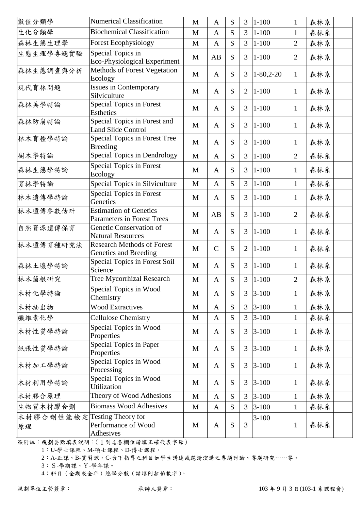| 數值分類學           | <b>Numerical Classification</b>                               | $\mathbf{M}$ | $\mathbf{A}$ | S | $\overline{3}$ | $ 1 - 100$  | $\mathbf{1}$   | 森林系 |
|-----------------|---------------------------------------------------------------|--------------|--------------|---|----------------|-------------|----------------|-----|
| 生化分類學           | <b>Biochemical Classification</b>                             | M            | $\mathbf{A}$ | S | $\overline{3}$ | $1 - 100$   | $\mathbf{1}$   | 森林系 |
| 森林生態生理學         | <b>Forest Ecophysiology</b>                                   | M            | $\mathbf{A}$ | S | $\overline{3}$ | $1 - 100$   | $\overline{2}$ | 森林系 |
| 生態生理學專題實驗       | Special Topics in<br>Eco-Physiological Experiment             | M            | AB           | S | 3              | $1 - 100$   | $\overline{2}$ | 森林系 |
| 森林生態調查與分析       | Methods of Forest Vegetation<br>Ecology                       | M            | $\mathbf{A}$ | S | 3              | $1-80,2-20$ | $\mathbf{1}$   | 森林系 |
| 現代育林問題          | <b>Issues in Contemporary</b><br>Silviculture                 | M            | $\mathbf{A}$ | S | $\overline{2}$ | $1 - 100$   | $\mathbf{1}$   | 森林系 |
| 森林美學特論          | <b>Special Topics in Forest</b><br><b>Esthetics</b>           | M            | $\mathbf{A}$ | S | 3              | $1 - 100$   | $\mathbf{1}$   | 森林系 |
| 森林防崩特論          | Special Topics in Forest and<br><b>Land Slide Control</b>     | M            | $\mathbf{A}$ | S | 3              | $1 - 100$   | $\mathbf{1}$   | 森林系 |
| 林木育種學特論         | <b>Special Topics in Forest Tree</b><br><b>Breeding</b>       | M            | $\mathbf{A}$ | S | 3              | $1 - 100$   | 1              | 森林系 |
| 樹木學特論           | <b>Special Topics in Dendrology</b>                           | M            | $\mathbf{A}$ | S | $\overline{3}$ | $1 - 100$   | $\overline{2}$ | 森林系 |
| 森林生態學特論         | <b>Special Topics in Forest</b><br>Ecology                    | M            | $\mathbf{A}$ | S | 3              | $1 - 100$   | $\mathbf{1}$   | 森林系 |
| 育林學特論           | <b>Special Topics in Silviculture</b>                         | $\mathbf M$  | $\mathbf{A}$ | S | $\overline{3}$ | $1 - 100$   | $\mathbf{1}$   | 森林系 |
| 林木遺傳學特論         | <b>Special Topics in Forest</b><br>Genetics                   | M            | $\mathbf{A}$ | S | 3              | $ 1 - 100$  | $\mathbf{1}$   | 森林系 |
| 林木遺傳參數估計        | <b>Estimation of Genetics</b><br>Parameters in Forest Trees   | M            | AB           | S | 3              | $1 - 100$   | $\overline{2}$ | 森林系 |
| 自然資源遺傳保育        | Genetic Conservation of<br><b>Natural Resources</b>           | M            | $\mathbf{A}$ | S | 3              | $1 - 100$   | $\mathbf{1}$   | 森林系 |
| 林木遺傳育種研究法       | <b>Research Methods of Forest</b><br>Genetics and Breeding    | M            | $\mathbf C$  | S | $\overline{2}$ | $1 - 100$   | $\mathbf{1}$   | 森林系 |
| 森林土壤學特論         | <b>Special Topics in Forest Soil</b><br>Science               | M            | $\mathbf{A}$ | S | $\overline{3}$ | $1 - 100$   | $\mathbf{1}$   | 森林系 |
| 林木菌根研究          | Tree Mycorrhizal Research                                     | M            | $\mathbf{A}$ | S | 3              | $1 - 100$   | $\overline{2}$ | 森林系 |
| 木材化學特論          | Special Topics in Wood<br>Chemistry                           | M            | $\mathbf{A}$ | S | 3              | $3 - 100$   | $\mathbf{1}$   | 森林系 |
| 木材抽出物           | <b>Wood Extractives</b>                                       | $\mathbf M$  | $\mathbf{A}$ | S | $\overline{3}$ | $3 - 100$   | $\mathbf{1}$   | 森林系 |
| 纖維素化學           | <b>Cellulose Chemistry</b>                                    | M            | $\mathbf{A}$ | S | 3              | $3 - 100$   | $\mathbf{1}$   | 森林系 |
| 木材性質學特論         | Special Topics in Wood<br>Properties                          | M            | $\mathbf{A}$ | S | 3              | $3 - 100$   | $\mathbf{1}$   | 森林系 |
| 紙張性質學特論         | <b>Special Topics in Paper</b><br>Properties                  | M            | $\mathbf{A}$ | S | 3              | $3 - 100$   | $\mathbf{1}$   | 森林系 |
| 木材加工學特論         | Special Topics in Wood<br>Processing                          | M            | $\mathbf{A}$ | S | 3              | $3 - 100$   | $\mathbf{1}$   | 森林系 |
| 木材利用學特論         | Special Topics in Wood<br><b>Utilization</b>                  | M            | $\mathbf{A}$ | S | 3              | $3 - 100$   | $\mathbf{1}$   | 森林系 |
| 木材膠合原理          | Theory of Wood Adhesions                                      | $\mathbf M$  | $\mathbf{A}$ | S | $\overline{3}$ | $3 - 100$   | $\mathbf{1}$   | 森林系 |
| 生物質木材膠合劑        | <b>Biomass Wood Adhesives</b>                                 | M            | $\mathbf{A}$ | S | $\overline{3}$ | $3 - 100$   | $\mathbf{1}$   | 森林系 |
| 木材膠合劑性能檢定<br>原理 | <b>Testing Theory for</b><br>Performance of Wood<br>Adhesives | M            | $\mathbf{A}$ | S | 3              | $3 - 100$   | $\mathbf{1}$   | 森林系 |

1:U-學士課程、M-碩士課程、D-博士課程。

2:A-正課、B-實習課、C-台下指導之科目如學生講述或邀請演講之專題討論、專題研究……等。

3:S-學期課、Y-學年課。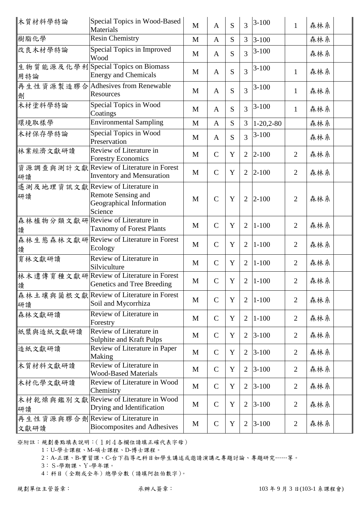| 木質材料學特論                                   | Special Topics in Wood-Based<br>Materials                                    | M | $\mathbf{A}$  | S           | 3              | $3 - 100$   | $\mathbf{1}$   | 森林系 |  |
|-------------------------------------------|------------------------------------------------------------------------------|---|---------------|-------------|----------------|-------------|----------------|-----|--|
| 樹脂化學                                      | <b>Resin Chemistry</b>                                                       | M | $\mathbf{A}$  | S           | $\overline{3}$ | $3 - 100$   |                | 森林系 |  |
| 改良木材學特論                                   | Special Topics in Improved<br>Wood                                           | M | $\mathbf{A}$  | S           | $\overline{3}$ | $3 - 100$   |                | 森林系 |  |
| 用特論                                       | 生物質能源及化學利Special Topics on Biomass<br><b>Energy and Chemicals</b>            | M | $\mathbf{A}$  | S           | 3              | $3 - 100$   | 1              | 森林系 |  |
| 劑                                         | 再生性資源製造膠合Adhesives from Renewable<br>Resources                               | M | $\mathbf{A}$  | S           | $\overline{3}$ | $3 - 100$   | $\mathbf{1}$   | 森林系 |  |
| 木材塗料學特論                                   | Special Topics in Wood<br>Coatings                                           | M | $\mathbf{A}$  | S           | $\overline{3}$ | $3 - 100$   | $\mathbf{1}$   | 森林系 |  |
| 環境取樣學                                     | <b>Environmental Sampling</b>                                                | M | $\mathbf{A}$  | ${\bf S}$   | 3              | $1-20,2-80$ |                | 森林系 |  |
| 木材保存學特論                                   | Special Topics in Wood<br>Preservation                                       | M | $\mathbf{A}$  | S           | $\overline{3}$ | $3 - 100$   |                | 森林系 |  |
| 林業經濟文獻研讀                                  | Review of Literature in<br><b>Forestry Economics</b>                         | M | $\mathcal{C}$ | Y           | $\overline{2}$ | $2 - 100$   | $\overline{2}$ | 森林系 |  |
| 研讀                                        | 資源調查與測計文獻 Review of Literature in Forest<br><b>Inventory and Mensuration</b> | M | $\mathcal{C}$ | Y           | $\overline{2}$ | $2 - 100$   | $\overline{2}$ | 森林系 |  |
| 遙測及地理資訊文獻 Review of Literature in<br>研讀   | Remote Sensing and<br>Geographical Information<br>Science                    | M | $\mathcal{C}$ | Y           | $\overline{2}$ | $2 - 100$   | $\overline{2}$ | 森林系 |  |
| 森林植物分類文獻研 Review of Literature in<br>讀    | <b>Taxnomy of Forest Plants</b>                                              | M | $\mathcal{C}$ | Y           | $\overline{2}$ | $1 - 100$   | $\overline{2}$ | 森林系 |  |
| 讀                                         | 森林生態森林文獻研Review of Literature in Forest<br>Ecology                           | M | $\mathcal{C}$ | Y           | $\overline{2}$ | $1 - 100$   | $\overline{2}$ | 森林系 |  |
| 育林文獻研讀                                    | Review of Literature in<br>Silviculture                                      | M | $\mathcal{C}$ | Y           | $\overline{2}$ | $1 - 100$   | $\overline{2}$ | 森林系 |  |
| 讀                                         | 林木遺傳育種文獻研 Review of Literature in Forest<br>Genetics and Tree Breeding       | M | $\mathcal{C}$ | Y           | $\overline{2}$ | $1 - 100$   | $\overline{2}$ | 森林系 |  |
| 研讀                                        | 森林土壤與菌根文獻 Review of Literature in Forest<br>Soil and Mycorrhiza              | M | $\mathcal{C}$ | Y           | $\overline{2}$ | $1 - 100$   | $\overline{2}$ | 森林系 |  |
| 森林文獻研讀                                    | Review of Literature in<br>Forestry                                          | M | $\mathbf C$   | Y           | 2              | $1 - 100$   | $\overline{2}$ | 森林系 |  |
| 紙漿與造紙文獻研讀                                 | Review of Literature in<br>Sulphite and Kraft Pulps                          | M | $\mathcal{C}$ | Y           | $\overline{2}$ | $3 - 100$   | $\overline{2}$ | 森林系 |  |
| 造紙文獻研讀                                    | Review of Literature in Paper<br>Making                                      | M | $\mathcal{C}$ | Y           | $\overline{2}$ | $3 - 100$   | $\overline{2}$ | 森林系 |  |
| 木質材料文獻研讀                                  | Review of Literature in<br><b>Wood-Based Materials</b>                       | M | $\mathcal{C}$ | Y           | 2              | $3 - 100$   | $\overline{2}$ | 森林系 |  |
| 木材化學文獻研讀                                  | Review of Literature in Wood<br>Chemistry                                    | M | $\mathcal{C}$ | Y           | $\overline{2}$ | $3 - 100$   | $\overline{2}$ | 森林系 |  |
| 研讀                                        | 木材乾燥與鑑別文獻 Review of Literature in Wood<br>Drying and Identification          | M | $\mathcal{C}$ | $\mathbf Y$ | $\overline{2}$ | $3 - 100$   | $\overline{2}$ | 森林系 |  |
| 再生性資源與膠合劑 Review of Literature in<br>文獻研讀 | <b>Biocomposites and Adhesives</b>                                           | M | $\mathcal{C}$ | Y           | $\overline{2}$ | $3 - 100$   | $\overline{2}$ | 森林系 |  |

1:U-學士課程、M-碩士課程、D-博士課程。

2:A-正課、B-實習課、C-台下指導之科目如學生講述或邀請演講之專題討論、專題研究……等。

3:S-學期課、Y-學年課。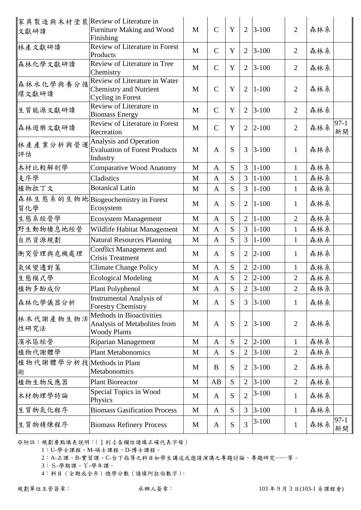| 家具製造與木材塗裝 Review of Literature in |                                                           |              |               |           |                |           |                |     |        |
|-----------------------------------|-----------------------------------------------------------|--------------|---------------|-----------|----------------|-----------|----------------|-----|--------|
| 文獻研讀                              | Furniture Making and Wood                                 | $\mathbf{M}$ | $\mathcal{C}$ | Y         | $\overline{2}$ | $3 - 100$ | $\overline{2}$ | 森林系 |        |
|                                   | Finishing                                                 |              |               |           |                |           |                |     |        |
| 林產文獻研讀                            | Review of Literature in Forest                            | $\mathbf{M}$ | $\mathcal{C}$ | Y         | 2              | $3 - 100$ | $\overline{2}$ | 森林系 |        |
|                                   | Products                                                  |              |               |           |                |           |                |     |        |
| 森林化學文獻研讀                          | Review of Literature in Tree                              | $\mathbf{M}$ | $\mathcal{C}$ | Y         | $\overline{2}$ | $3 - 100$ | $\overline{2}$ | 森林系 |        |
|                                   | Chemistry<br>Review of Literature in Water                |              |               |           |                |           |                |     |        |
| 森林水化學與養分循                         | <b>Chemistry and Nutrient</b>                             | M            | $\mathcal{C}$ | Y         | $\overline{2}$ | $1 - 100$ | $\overline{2}$ | 森林系 |        |
| 環文獻研讀                             | <b>Cycling in Forest</b>                                  |              |               |           |                |           |                |     |        |
|                                   | Review of Literature in                                   |              |               |           |                |           |                |     |        |
| 生質能源文獻研讀                          | <b>Biomass Energy</b>                                     | M            | $\mathbf C$   | Y         | $\overline{2}$ | $3 - 100$ | $\overline{2}$ | 森林系 |        |
|                                   | Review of Literature in Forest                            |              |               |           |                |           |                |     | $97-1$ |
| 森林遊樂文獻研讀                          | Recreation                                                | M            | $\mathcal{C}$ | Y         | $\overline{2}$ | $2 - 100$ | $\overline{2}$ | 森林系 | 新開     |
| 林產產業分析與營運                         | Analysis and Operation                                    |              |               |           |                |           |                |     |        |
|                                   | <b>Evaluation of Forest Products</b>                      | M            | $\mathbf{A}$  | S         | 3              | $3 - 100$ | $\mathbf{1}$   | 森林系 |        |
| 評估                                | Industry                                                  |              |               |           |                |           |                |     |        |
| 木材比較解剖學                           | <b>Comparative Wood Anatomy</b>                           | M            | $\mathbf{A}$  | S         | 3              | $1 - 100$ | $\mathbf{1}$   | 森林系 |        |
| 支序學                               | Cladistics                                                | M            | $\mathbf{A}$  | S         | 3              | $1 - 100$ | $\mathbf{1}$   | 森林系 |        |
| 植物拉丁文                             | <b>Botanical Latin</b>                                    | $\mathbf{M}$ | $\mathbf{A}$  | S         | $\overline{3}$ | $1 - 100$ | $\mathbf{1}$   | 森林系 |        |
|                                   | 森林生態系的生物地Biogeochemistry in Forest                        |              |               |           |                |           |                |     |        |
| 質化學                               | Ecosystem                                                 | M            | $\mathbf{A}$  | S         | $\overline{2}$ | $1 - 100$ | $\mathbf{1}$   | 森林系 |        |
| 生態系經營學                            | <b>Ecosystem Management</b>                               | $\mathbf{M}$ | $\mathbf{A}$  | S         | $\overline{2}$ | $1 - 100$ | $\overline{2}$ | 森林系 |        |
| 野生動物棲息地經營                         | Wildlife Habitat Management                               | M            | $\mathbf{A}$  | S         | 3              | $1 - 100$ | 1              | 森林系 |        |
|                                   |                                                           |              | $\mathbf{A}$  | S         | 3              | $1 - 100$ | $\mathbf{1}$   |     |        |
| 自然資源規劃                            | <b>Natural Resources Planning</b>                         | M            |               |           |                |           |                | 森林系 |        |
| 衝突管理與危機處理                         | <b>Conflict Management and</b><br><b>Crisis Treatment</b> | M            | $\mathbf{A}$  | S         | $\overline{2}$ | $2 - 100$ | $\mathbf{1}$   | 森林系 |        |
| 氣候變遷對策                            | <b>Climate Change Policy</b>                              | M            | $\mathbf{A}$  | S         | $\overline{2}$ | $2 - 100$ | 1              | 森林系 |        |
| 生態模式學                             | <b>Ecological Modeling</b>                                | M            | $\mathbf{A}$  | ${\bf S}$ | $\overline{2}$ | $2 - 100$ | $\overline{2}$ | 森林系 |        |
| 植物多酚成份                            | Plant Polyphenol                                          | M            | $\mathbf{A}$  | S         | 2              | $3 - 100$ | 2              | 森林系 |        |
|                                   | <b>Instrumental Analysis of</b>                           |              |               |           |                |           |                |     |        |
| 森林化學儀器分析                          | <b>Forestry Chemistry</b>                                 | M            | $\mathbf{A}$  | S         | 3              | $3 - 100$ | $\mathbf{1}$   | 森林系 |        |
| 林木代謝產物生物活                         | <b>Methods in Bioactivities</b>                           |              |               |           |                |           |                |     |        |
| 性研究法                              | Analysis of Metabolites from                              | M            | $\mathbf{A}$  | S         | $\overline{2}$ | $3 - 100$ | $\overline{2}$ | 森林系 |        |
|                                   | <b>Woody Plants</b>                                       |              |               |           |                |           |                |     |        |
| 濱水區經營                             | <b>Riparian Management</b>                                | M            | $\mathbf{A}$  | ${\bf S}$ | $\overline{2}$ | $2 - 100$ | $\mathbf{1}$   | 森林系 |        |
| 植物代謝體學                            | <b>Plant Metabonomics</b>                                 | M            | $\mathbf{A}$  | S         | $\overline{2}$ | $3 - 100$ | $\overline{2}$ | 森林系 |        |
| 植物代謝體學分析技 Methods in Plant        |                                                           |              |               |           |                |           |                |     |        |
| 術                                 | Metabonomics                                              | M            | B             | S         | $\overline{2}$ | $3 - 100$ | $\overline{2}$ | 森林系 |        |
| 植物生物反應器                           | <b>Plant Bioreactor</b>                                   | M            | AB            | S         | $\overline{2}$ | $3 - 100$ | $\overline{2}$ | 森林系 |        |
|                                   | Special Topics in Wood                                    |              |               |           | $\overline{2}$ | $3-100$   |                |     |        |
| 木材物理學特論                           | Physics                                                   | M            | $\mathbf{A}$  | S         |                |           | $\mathbf{1}$   | 森林系 |        |
| 生質物氣化程序                           | <b>Biomass Gasification Process</b>                       | $\mathbf M$  | $\mathbf{A}$  | S         | 3              | $3 - 100$ | $\mathbf{1}$   | 森林系 |        |
| 生質物精煉程序                           | <b>Biomass Refinery Process</b>                           | M            | A             | S         | $\overline{3}$ | $3-100$   | $\mathbf{1}$   | 森林系 | $97-1$ |
|                                   |                                                           |              |               |           |                |           |                |     | 新開     |

1:U-學士課程、M-碩士課程、D-博士課程。

2:A-正課、B-實習課、C-台下指導之科目如學生講述或邀請演講之專題討論、專題研究……等。

3:S-學期課、Y-學年課。